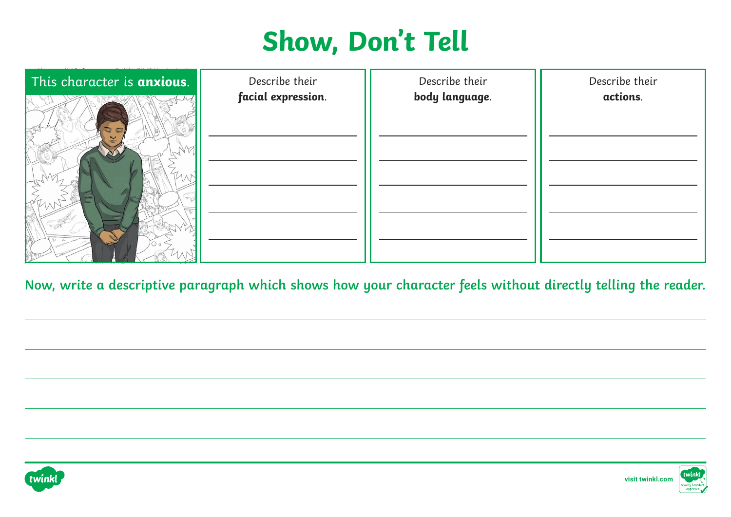| This character is anxious. | Describe their<br>facial expression. | Describe their<br>body language. | Describe their<br>actions. |
|----------------------------|--------------------------------------|----------------------------------|----------------------------|
|                            |                                      |                                  |                            |
|                            |                                      |                                  |                            |
|                            |                                      |                                  |                            |
|                            |                                      |                                  |                            |
|                            |                                      |                                  |                            |
|                            |                                      |                                  |                            |

**Now, write a descriptive paragraph which shows how your character feels without directly telling the reader.**





**[visit twinkl.com](https://www.twinkl.co.uk/resource/ks2-character-description-through-dialogue-poster-beowulf-t-e-2549243)**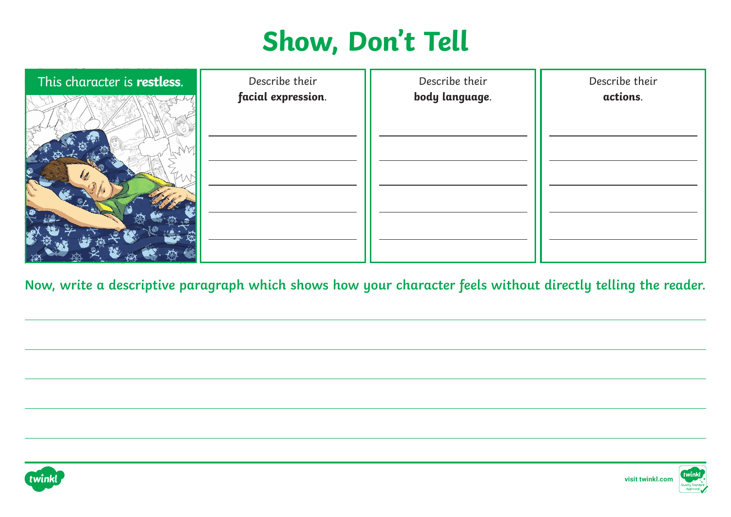| This character is restless. | Describe their     | Describe their | Describe their |
|-----------------------------|--------------------|----------------|----------------|
|                             | facial expression. | body language. | actions.       |
|                             |                    |                |                |
|                             |                    |                |                |
|                             |                    |                |                |

**Now, write a descriptive paragraph which shows how your character feels without directly telling the reader.**



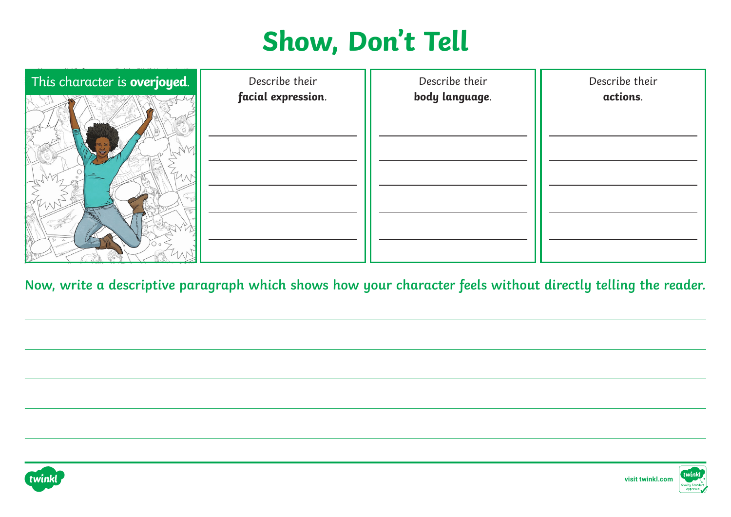| This character is overjoyed. | Describe their     | Describe their | Describe their |
|------------------------------|--------------------|----------------|----------------|
|                              | facial expression. | body language. | actions.       |
|                              |                    |                |                |
|                              |                    |                |                |
|                              |                    |                |                |
|                              |                    |                |                |
|                              |                    |                |                |
|                              |                    |                |                |

**Now, write a descriptive paragraph which shows how your character feels without directly telling the reader.**





**[visit twinkl.com](https://www.twinkl.co.uk/resource/ks2-character-description-through-dialogue-poster-beowulf-t-e-2549243)**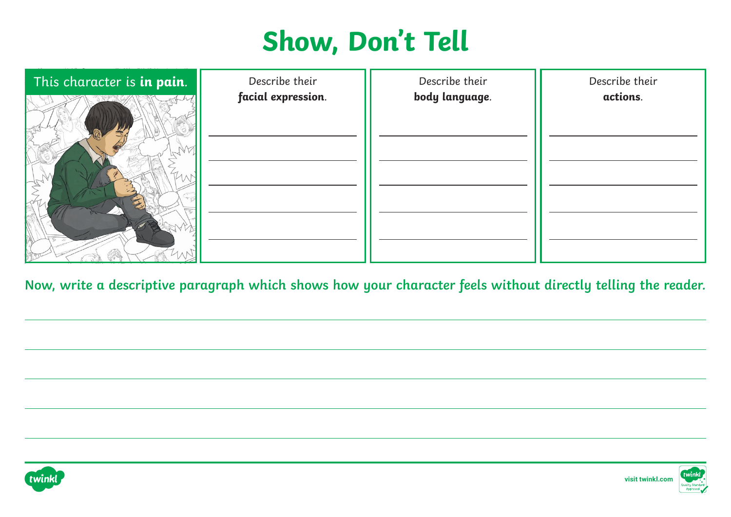| This character is in pain. | Describe their<br>facial expression. | Describe their<br>body language. | Describe their<br>actions. |
|----------------------------|--------------------------------------|----------------------------------|----------------------------|
|                            |                                      |                                  |                            |
|                            |                                      |                                  |                            |
|                            |                                      |                                  |                            |
|                            |                                      |                                  |                            |
|                            |                                      |                                  |                            |

**Now, write a descriptive paragraph which shows how your character feels without directly telling the reader.**